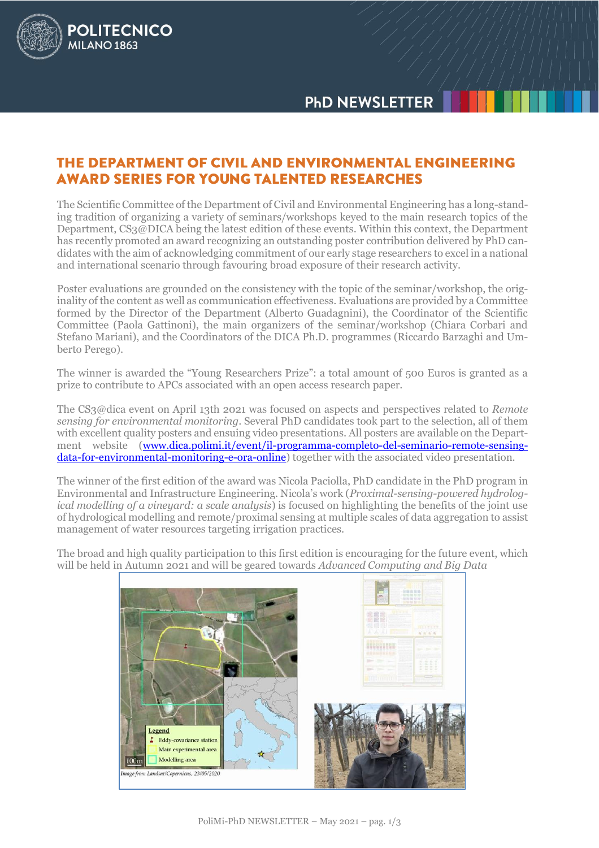## THE DEPARTMENT OF CIVIL AND ENVIRONMENTAL ENGINEERING **AWARD SERIES FOR YOUNG TALENTED RESEARCHES**

**POLITECNICO** 

MILANO<sub>1863</sub>

The Scientific Committee of the Department of Civil and Environmental Engineering has a long-standing tradition of organizing a variety of seminars/workshops keyed to the main research topics of the Department, CS3@DICA being the latest edition of these events. Within this context, the Department has recently promoted an award recognizing an outstanding poster contribution delivered by PhD candidates with the aim of acknowledging commitment of our early stage researchers to excel in a national and international scenario through favouring broad exposure of their research activity.

Poster evaluations are grounded on the consistency with the topic of the seminar/workshop, the originality of the content as well as communication effectiveness. Evaluations are provided by a Committee formed by the Director of the Department (Alberto Guadagnini), the Coordinator of the Scientific Committee (Paola Gattinoni), the main organizers of the seminar/workshop (Chiara Corbari and Stefano Mariani), and the Coordinators of the DICA Ph.D. programmes (Riccardo Barzaghi and Umberto Perego).

The winner is awarded the "Young Researchers Prize": a total amount of 500 Euros is granted as a prize to contribute to APCs associated with an open access research paper.

The CS3@dica event on April 13th 2021 was focused on aspects and perspectives related to *Remote sensing for environmental monitoring*. Several PhD candidates took part to the selection, all of them with excellent quality posters and ensuing video presentations. All posters are available on the Department website [\(www.dica.polimi.it/event/il-programma-completo-del-seminario-remote-sensing](http://www.dica.polimi.it/event/il-programma-completo-del-seminario-remote-sensing-data-for-environmental-monitoring-e-ora-online)[data-for-environmental-monitoring-e-ora-online\)](http://www.dica.polimi.it/event/il-programma-completo-del-seminario-remote-sensing-data-for-environmental-monitoring-e-ora-online) together with the associated video presentation.

The winner of the first edition of the award was Nicola Paciolla, PhD candidate in the PhD program in Environmental and Infrastructure Engineering. Nicola's work (*Proximal-sensing-powered hydrological modelling of a vineyard: a scale analysis*) is focused on highlighting the benefits of the joint use of hydrological modelling and remote/proximal sensing at multiple scales of data aggregation to assist management of water resources targeting irrigation practices.

The broad and high quality participation to this first edition is encouraging for the future event, which will be held in Autumn 2021 and will be geared towards *Advanced Computing and Big Data*

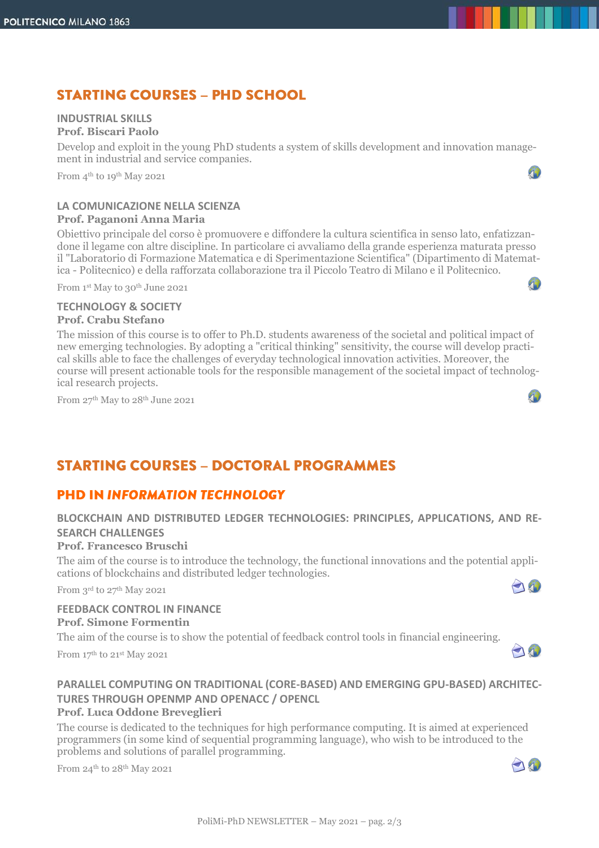# **STARTING COURSES - PHD SCHOOL**

#### **INDUSTRIAL SKILLS**

#### **Prof. Biscari Paolo**

Develop and exploit in the young PhD students a system of skills development and innovation management in industrial and service companies.

From 4<sup>th</sup> to 19<sup>th</sup> May 2021

#### **LA COMUNICAZIONE NELLA SCIENZA Prof. Paganoni Anna Maria**

Obiettivo principale del corso è promuovere e diffondere la cultura scientifica in senso lato, enfatizzandone il legame con altre discipline. In particolare ci avvaliamo della grande esperienza maturata presso il "Laboratorio di Formazione Matematica e di Sperimentazione Scientifica" (Dipartimento di Matematica - Politecnico) e della rafforzata collaborazione tra il Piccolo Teatro di Milano e il Politecnico.

From 1st May to 30<sup>th</sup> June 2021

#### **TECHNOLOGY & SOCIETY Prof. Crabu Stefano**

The mission of this course is to offer to Ph.D. students awareness of the societal and political impact of new emerging technologies. By adopting a "critical thinking" sensitivity, the course will develop practical skills able to face the challenges of everyday technological innovation activities. Moreover, the course will present actionable tools for the responsible management of the societal impact of technological research projects.

From 27<sup>th</sup> May to 28<sup>th</sup> June 2021

# **STARTING COURSES - DOCTORAL PROGRAMMES**

## **PHD IN INFORMATION TECHNOLOGY**

## **BLOCKCHAIN AND DISTRIBUTED LEDGER TECHNOLOGIES: PRINCIPLES, APPLICATIONS, AND RE-SEARCH CHALLENGES**

#### **Prof. Francesco Bruschi**

The aim of the course is to introduce the technology, the functional innovations and the potential applications of blockchains and distributed ledger technologies. O

From 3rd to 27<sup>th</sup> May 2021

#### **FEEDBACK CONTROL IN FINANCE Prof. Simone Formentin**

The aim of the course is to show the potential of feedback control tools in financial engineering.

From 17 th to 21st May 2021

### **PARALLEL COMPUTING ON TRADITIONAL (CORE-BASED) AND EMERGING GPU-BASED) ARCHITEC-TURES THROUGH OPENMP AND OPENACC / OPENCL**

#### **Prof. Luca Oddone Breveglieri**

The course is dedicated to the techniques for high performance computing. It is aimed at experienced programmers (in some kind of sequential programming language), who wish to be introduced to the problems and solutions of parallel programming.

From 24th to 28th May 2021

19

 $\sqrt{2}$ 

A)

40